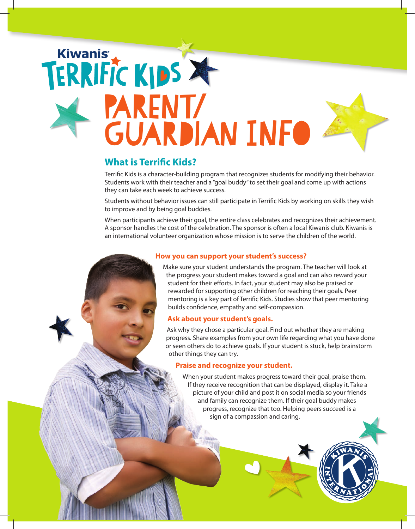# parent/ **GUARDIAN INFO**

### **What is Terrific Kids?**

Terrific Kids is a character-building program that recognizes students for modifying their behavior. Students work with their teacher and a "goal buddy" to set their goal and come up with actions they can take each week to achieve success.

Students without behavior issues can still participate in Terrific Kids by working on skills they wish to improve and by being goal buddies.

When participants achieve their goal, the entire class celebrates and recognizes their achievement. A sponsor handles the cost of the celebration. The sponsor is often a local Kiwanis club. Kiwanis is an international volunteer organization whose mission is to serve the children of the world.

#### **How you can support your student's success?**

Make sure your student understands the program. The teacher will look at the progress your student makes toward a goal and can also reward your student for their efforts. In fact, your student may also be praised or rewarded for supporting other children for reaching their goals. Peer mentoring is a key part of Terrific Kids. Studies show that peer mentoring builds confidence, empathy and self-compassion.

#### **Ask about your student's goals.**

Ask why they chose a particular goal. Find out whether they are making progress. Share examples from your own life regarding what you have done or seen others do to achieve goals. If your student is stuck, help brainstorm other things they can try.

#### **Praise and recognize your student.**

When your student makes progress toward their goal, praise them. If they receive recognition that can be displayed, display it. Take a picture of your child and post it on social media so your friends and family can recognize them. If their goal buddy makes progress, recognize that too. Helping peers succeed is a sign of a compassion and caring.